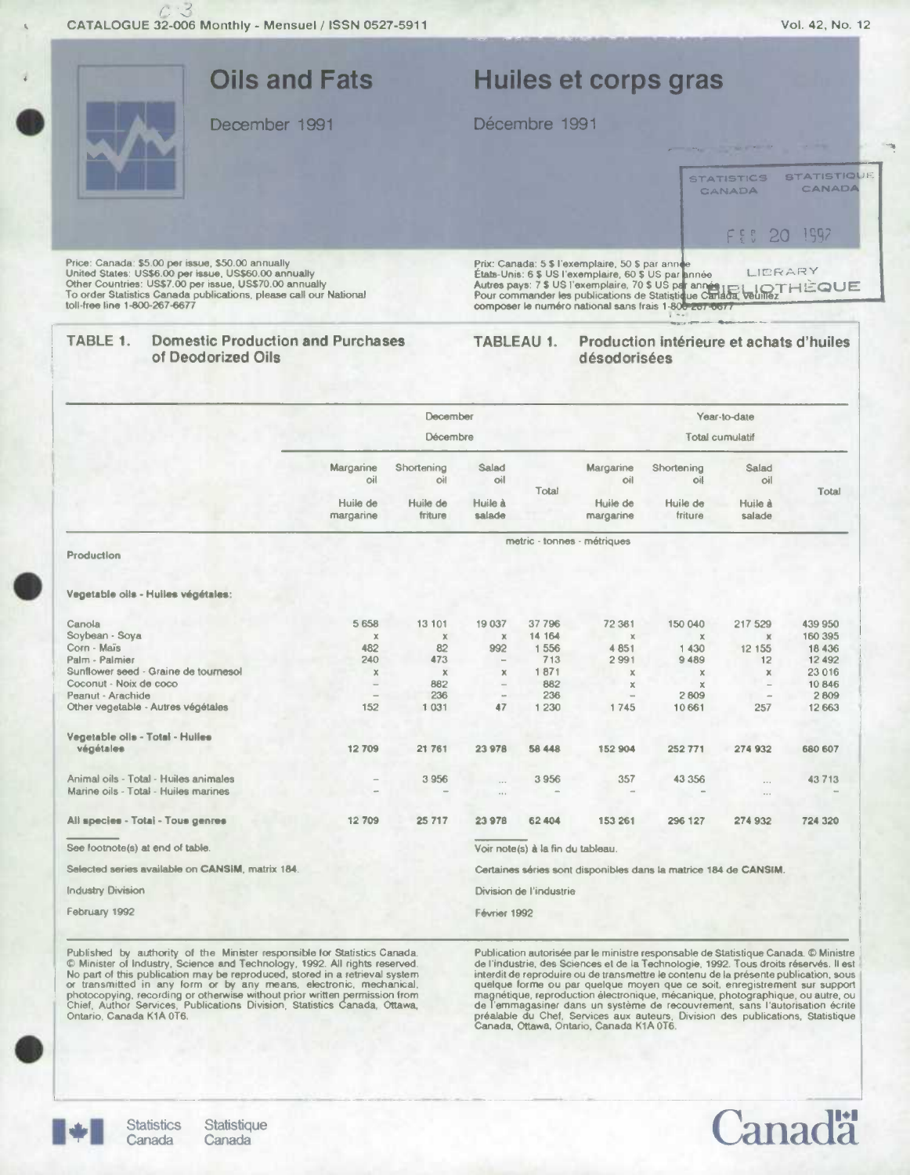

Published by authority of the Minister responsible lor Statistics Canada.<br>
© Minister of Industry, Science and Technology, 1992. All rights reserved.<br>
No part of this publication may be reproduced, stored in a retrieval sy

de l'industrie, des Sciences et de la Technologie, 1992. Tous droits réservés. Il est interdit de reproduire ou de transmettre le contenu de la présente publication, sous quelque forme ou par quelque moyen que ce soit, enregistrement sur support<br>magnétique, reproduction electronique, mécanique, photographique, ou autre, ou de l'emmagasiner dans un système de recouvrement, sans l'autorisation écrite<br>préalable du Chef, Services aux auteurs, Division des publications, Statistique<br>Canada, Ottawa, Ontario, Canada K1A 0T6.

ana

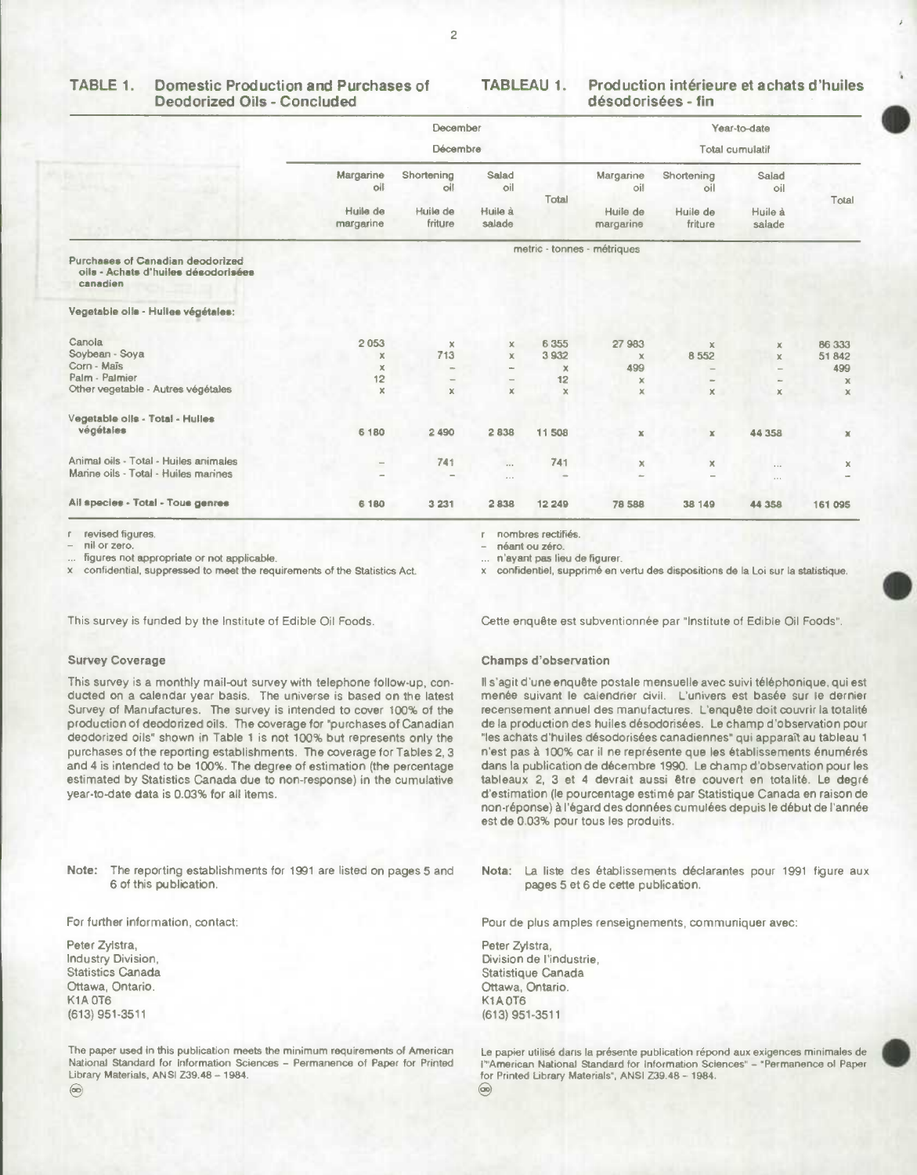## **Deodorized Oils** - Concluded **désodorisées** - **fin**

## **TABLE 1. Domestic Production and Purchases of TABLEAU 1. Production intérieure et achats d'huiles**

|                                                                                     |                                              | December<br>Décembre |                                                          |                           |                                 |                     | Year-to-date<br><b>Total cumulatif</b> |                             |
|-------------------------------------------------------------------------------------|----------------------------------------------|----------------------|----------------------------------------------------------|---------------------------|---------------------------------|---------------------|----------------------------------------|-----------------------------|
|                                                                                     | Margarine<br>oil                             | Shortening<br>oil    | Salad<br>oil                                             | Total                     | Margarine<br>oil                | Shortening<br>oil   | Salad<br>oil                           | Total                       |
|                                                                                     | Huile de<br>Huile de<br>friture<br>margarine |                      | Huile à<br>salade                                        |                           | Huile de<br>margarine           | Huile de<br>friture | Huile à<br>salade                      |                             |
| Purchases of Canadian deodorized<br>oils - Achats d'huiles désodorisées<br>canadien |                                              |                      |                                                          |                           | metric - tonnes - métriques     |                     |                                        |                             |
| Vegetable olls - Hulles végétales:                                                  |                                              |                      |                                                          |                           |                                 |                     |                                        |                             |
| Canola<br>Soybean - Soya                                                            | 2053                                         | $\mathbf x$<br>713   | $\mathbf x$                                              | 6 3 5 5                   | 27 983                          | $\mathbf{x}$        | x                                      | 86 333                      |
| Corn - Maïs<br>Palm - Palmier                                                       | $\times$<br>$\times$<br>12                   |                      | $\mathbb X$<br><b>Silver</b><br>$\overline{\phantom{m}}$ | 3 9 3 2<br>$\times$<br>12 | $\mathsf{x}$<br>499<br>$\times$ | 8 5 5 2<br>$\sim$   | $\mathbf x$<br>-                       | 51842<br>499<br>$\mathbf x$ |
| Other vegetable - Autres végétales                                                  | $\pmb{\times}$                               | $\mathbf x$          | $\mathbb X$                                              | $\times$                  | $\times$                        | x.                  | $\times$                               | $\times$                    |
| Vegetable oils - Total - Hulles<br>végétales                                        | 6 1 8 0                                      | 2 4 9 0              | 2838                                                     | 11 508                    | $\mathbb X$                     | $\mathbb X$         | 44 358                                 | ×                           |
| Animal oils - Total - Huiles animales<br>Marine oils - Total - Huiles marines       | $\overline{\phantom{m}}$<br>-                | 741<br>$\equiv$      | $\cdots$<br>$\cdots$                                     | 741                       | ×                               | ×                   | $\cdots$<br>$\alpha$ .                 | x                           |
| All species - Total - Tous genres                                                   | 6 180                                        | 3 2 3 1              | 2838                                                     | 12 249                    | 78 588                          | 38 149              | 44 358                                 | 161 095                     |

revised figures.  $\mathbf{r}$ 

nil or zero.

figures not appropriate or not applicable.

confidential, suppressed to meet the requirements of the Statistics Act.

This survey is funded by the Institute of Edible Oil Foods

#### **Survey Coverage**

This survey is a monthly mail-out survey with telephone follow-up, conducted on a calendar year basis. The universe is based on the latest Survey of Manufactures. The survey is intended to cover 100% of the production of deodorized oils. The coverage for "purchases of Canadian deodorized oils" shown in Table I is not 100% but represents only the purchases of the reporting establishments. The coverage for Tables 2, 3 and 4 is intended to be 100%. The degree of estimation (the percentage estimated by Statistics Canada due to non-response) in the cumulative year-to-date data is 0.03% for all items.

Note: The reporting establishments for 1991 are listed on pages 5 and Nota: La liste des établissements déclarantes pour 1991 figure aux

For further information, contact:

Peter Zylstra, Industry Division, Statistics Canada Ottawa, Ontario. K1A0T6 (613) 951-3511

The paper used in this publication meets the minimum requirements of American National Standard for Information Sciences - Permanence of Paper for Printed Library Materials, ANSI Z39.48 - 1984.

r nombres rectifiéa.

néant ou zéro.

n'ayant pas lieu de figurer.

confidentiel, supprimé en vertu des dispositions de la Loi sur la statistique.

Cette enquête est subventionnée par "institute of Edible Oil Foods".

#### **Champs d'observation**

Il s'agit d'une enquête postale mensuelle avec suivi téléphonique, qui est menée suivant le calendrier civil. L'univers est basée sur le dernier recensement annuel des manufactures. L'enquéte doit couvrir Ia totalité de la production des huiles désodorisées. Le champ d'observation pour "les achats d'huiles désodorisées canadiennes" qui apparait au tableau 1 n'est pas à 100% car il ne représente que les établissements énumérés dans la publication de décembre 1990. Le champ d'observation pour les tableaux 2, 3 et 4 devrait aussi être couvert en totalité. Le degré d'estimation (le pourcentage estimé par Statistique Canada en raison de non-réponse) **a** I'egard des données cumulées depuis Is debut de l'année est de 0.03% pour tous les produits.

pages 5 et 6 de cette publication.

Pour de plus amples renseignements, communiquer avec:

Peter Zylstra, Division de l'industrie, Statistique Canada Ottawa, Ontario. K1A 0T6 (613) 951-3511

Le papier utilisé dans la présente publication répond aux exigences minimales de P'American National Standard for Information Sciences" - "Permanence of Paper for Printed Library Materials", ANSI Z39.48 - 1984.  $\circledcirc$ 

 $\circledcirc$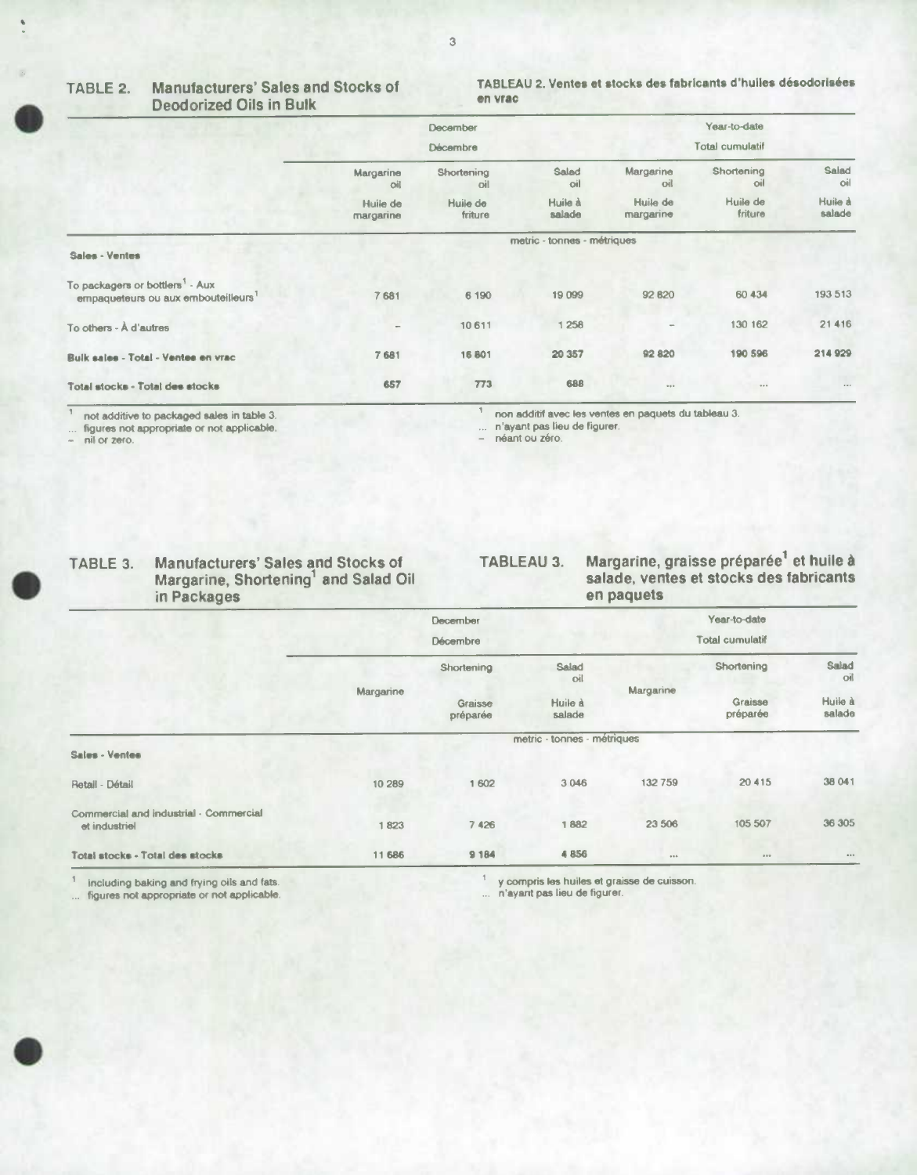## **Deodorized Oils in Bulk**

## TABLE 2. Manufacturers' Sales and Stocks of **TABLEAU 2. Ventes et stocks des fabricants** d'huiles désodorisées

|                                                                                                |                          | December<br><b>Décembre</b> |                             |                             | Year-to-date<br>Total cumulatif |                   |
|------------------------------------------------------------------------------------------------|--------------------------|-----------------------------|-----------------------------|-----------------------------|---------------------------------|-------------------|
|                                                                                                | Margarine<br>oil         | Shortening<br>oil           | Salad<br>oil                | Margarine<br>oil            | Shortening<br>oil               | Salad<br>oil      |
|                                                                                                | Huile de<br>margarine    | Huile de<br>friture         | Huile à<br>salade           | Huile de<br>margarine       | Huile de<br>friture             | Huile à<br>salade |
| Sales - Ventes                                                                                 |                          |                             | metric - tonnes - métriques |                             |                                 |                   |
| To packagers or bottlers <sup>1</sup> - Aux<br>empaqueteurs ou aux embouteilleurs <sup>1</sup> | 7681                     | 6 190                       | 19 099                      | 92 820                      | 60 434                          | 193 513           |
| To others - A d'autres                                                                         | $\overline{\phantom{a}}$ | 10 611                      | 1 258                       |                             | 130 162                         | 21 4 16           |
| Bulk sales - Total - Ventee en vrac                                                            | 7681                     | 16801                       | 20 357                      | 92 820                      | 190 596                         | 214 929           |
| Total stocks - Total des stocks                                                                | 657                      | 773                         | 688                         | $\mathbf{u} \in \mathbf{v}$ | $\mathbf{0} = \mathbf{0}$       | $\cdots$          |

 $\overline{1}$ 

 $\ldots$  figures not appropriate or not applicable.  $\sim$  nil or zero.

**I** 

not additive to packaged sales in table 3. non additif avec les ventes en paquets du tableau 3.

... n'ayant pas lieu de figurer.<br>- néant ou zéro.

# TABLE 3. Manufacturers' Sales and Stocks of **TABLEAU 3. Margarine, graisse préparée<sup>1</sup> et huile à salade, ventes et stocks des fabricants in Packages en paquets**

**TABLE 3. Manufacturers' Sales and Stocks of TABLEAU 3. Margarine, graisse préparée' et huile a** 

|                                                         |                 | <b>December</b>     |                                                                                                                 |                             | Year-to-date        |                   |
|---------------------------------------------------------|-----------------|---------------------|-----------------------------------------------------------------------------------------------------------------|-----------------------------|---------------------|-------------------|
|                                                         | <b>Décembre</b> |                     |                                                                                                                 |                             |                     |                   |
|                                                         |                 | Shortening          | Salad<br>oil                                                                                                    |                             | Shortening          | Salad<br>oil      |
|                                                         | Margarine       | Graisse<br>préparée | Huile à<br>salade                                                                                               | Margarine                   | Graisse<br>préparée | Huile à<br>salade |
| Sales - Ventes                                          |                 |                     | metric - tonnes - métriques                                                                                     |                             |                     |                   |
|                                                         |                 |                     |                                                                                                                 |                             |                     |                   |
| Retail - Détail                                         | 10 289          | 1 602               | 3 0 4 6                                                                                                         | 132759                      | 20 4 15             | 38 041            |
| Commercial and industrial - Commercial<br>et industriel | 1823            | 7426                | 1882                                                                                                            | 23 506                      | 105 507             | 36 305            |
| Total stocks - Total des stocks                         | 11 686          | 9 1 8 4             | 4856                                                                                                            | 0.06                        | 0.9.9               | 0.0.0             |
| and the con-                                            |                 | $\leftarrow$        | the contract of the contract of the contract of the contract of the contract of the contract of the contract of | $\sim$ $\sim$ $\sim$ $\sim$ |                     |                   |

<sup>1</sup> including baking and frying oils and fats. ... figures not appropriate or not applicable. y compris les huiles et graisse de cuisson.

n'ayant pas lieu de figurer.

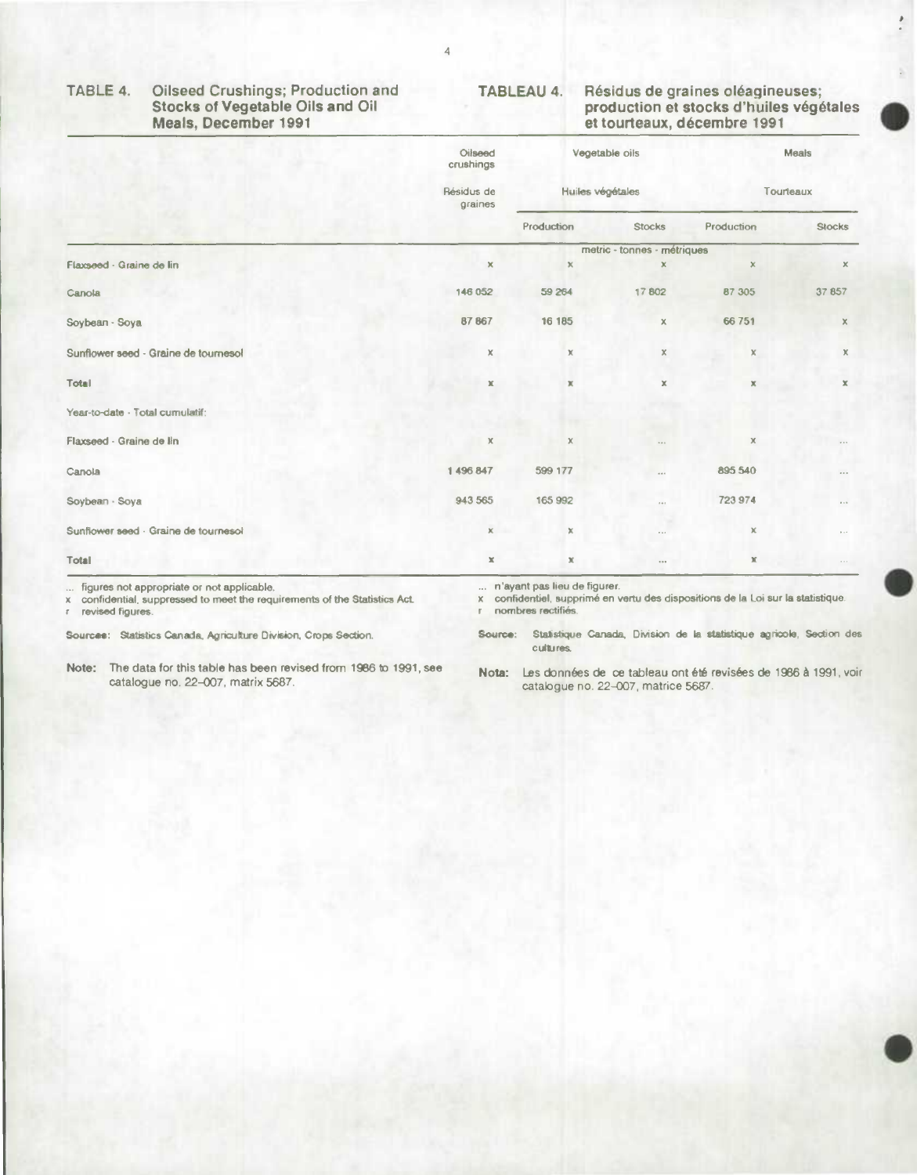#### **TABLE 4. Oilseed Crushings; Production and TABLEAU 4. Résidus de graines oleagineuses;**  Stocks of Vegetable Oils and Oil **production et stocks d'huiles végétales**<br>
Meals, December 1991 **and Cillabet Contrant de La Contrant de la Contrant de La Contrant de La Contrant de La Contra<br>
El contra de la Contra de La** et tourteaux, décembre 1991

|                                            | Oilseed<br>crushings          |                  | Vegetable oils              |               | Meals                 |  |
|--------------------------------------------|-------------------------------|------------------|-----------------------------|---------------|-----------------------|--|
|                                            | Résidus de<br>graines         | Huiles végétales |                             | Tourteaux     |                       |  |
|                                            |                               | Production       | <b>Stocks</b>               | Production    | <b>Stocks</b>         |  |
|                                            |                               |                  | metric - tonnes - métriques |               |                       |  |
| Flaxseed - Graine de lin                   | $\boldsymbol{\mathsf{x}}$     | $\mathbf x$      | ×                           | $\mathbf x$   | $\mathbb X$           |  |
| Canola                                     | 146 052                       | 59 264           | 17802                       | 87 305        | 37857                 |  |
| Soybean - Soya                             | 87 867                        | 16 185           | $\mathbb X$                 | 66 751        | x                     |  |
| Sunflower seed - Graine de tournesol       | x                             | $\mathbb X$      | $\mathbb X$                 | x             | $\mathbb X$           |  |
| Total                                      | $\mathbbm{X}$                 | ж                | $\mathbb X$                 | ж             | $\mathbb X$           |  |
| Year-to-date - Total cumulatif:            |                               |                  |                             |               |                       |  |
| Flaxseed - Graine de lin                   | $\chi$                        | $\mathbb X$      | 1.11                        | $\mathbb X$   | 1.14                  |  |
| Canola                                     | 1496847                       | 599 177          | 0.0.6                       | 895 540       | $0.4 - 0.1$           |  |
| Soybean - Soya                             | 943 565                       | 165 992          | 1.1                         | 723 974       | $\theta$ + $\theta$ . |  |
| Sunflower seed - Graine de tournesol       | $\overline{\mathbf{x}}$<br>۰. | $\mathbb X$      | $\alpha \rightarrow \alpha$ | $\chi$        | $\sim$ .              |  |
| Total                                      | $\mathbbm{X}$                 | $\mathbbm{K}$    | $\alpha$ o p                | $\mathbbm{X}$ | $\sim$ $\sim$ $\sim$  |  |
| figures not appropriate or not applicable. | n'ayant pas lieu de figurer.  |                  |                             |               |                       |  |

nombres rectifiés.

r.

... figures not appropriate or not applicable.

x confidential, suppressed to meet the requirements of the Statistics Act. revised figures.

Sources: Statistics Canada, Agriculture Division, Crops Section.

**Note:** The data for this table has been revised from 1986 to 1991, see catalogue no. 22-007, matrix 5687.

Source: Statistique Canada, Division de la statistique agricole, Section des cultures.

x confidentiel, supprimé en vertu des dispositions de la Loi sur la statistique.

Nota: Les données de ce tableau ont été revisées de 1986 à 1991, voir catalogue no. 22-007, matrice 5687.



**I**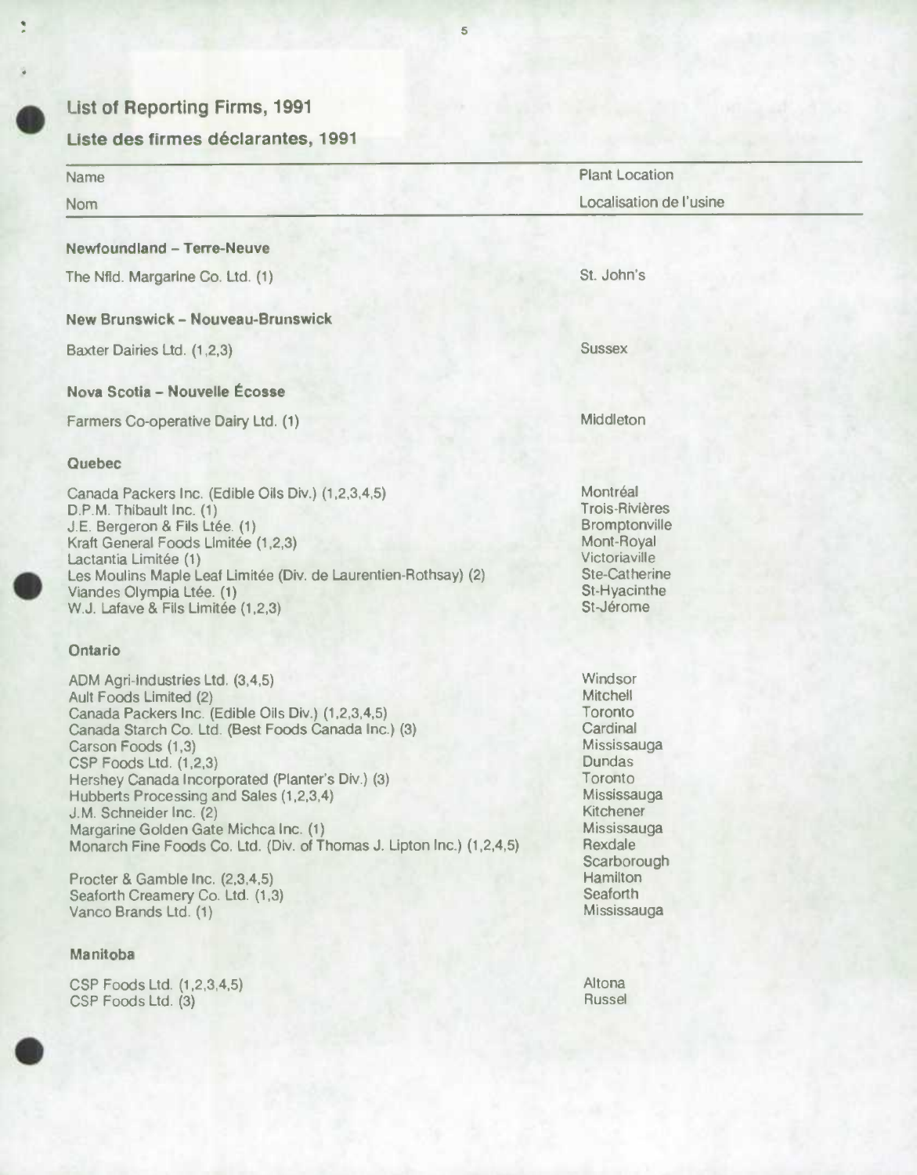

÷

 $\bullet$ 

## **List of Reporting Firms, 1991**

## **Liste des firmes déclarantes, 1991**

| Name                                                                                                                                                                                                                                                                                                                                                                                                                                                                                                                                                                | <b>Plant Location</b>                                                                                                                                                                             |  |  |  |
|---------------------------------------------------------------------------------------------------------------------------------------------------------------------------------------------------------------------------------------------------------------------------------------------------------------------------------------------------------------------------------------------------------------------------------------------------------------------------------------------------------------------------------------------------------------------|---------------------------------------------------------------------------------------------------------------------------------------------------------------------------------------------------|--|--|--|
| <b>Nom</b>                                                                                                                                                                                                                                                                                                                                                                                                                                                                                                                                                          | Localisation de l'usine                                                                                                                                                                           |  |  |  |
| <b>Newfoundland - Terre-Neuve</b>                                                                                                                                                                                                                                                                                                                                                                                                                                                                                                                                   |                                                                                                                                                                                                   |  |  |  |
| The Nfid. Margarine Co. Ltd. (1)                                                                                                                                                                                                                                                                                                                                                                                                                                                                                                                                    | St. John's                                                                                                                                                                                        |  |  |  |
| <b>New Brunswick - Nouveau-Brunswick</b>                                                                                                                                                                                                                                                                                                                                                                                                                                                                                                                            |                                                                                                                                                                                                   |  |  |  |
| Baxter Dairies Ltd. (1,2,3)                                                                                                                                                                                                                                                                                                                                                                                                                                                                                                                                         | <b>Sussex</b>                                                                                                                                                                                     |  |  |  |
| Nova Scotia - Nouvelle Écosse                                                                                                                                                                                                                                                                                                                                                                                                                                                                                                                                       |                                                                                                                                                                                                   |  |  |  |
| Farmers Co-operative Dairy Ltd. (1)                                                                                                                                                                                                                                                                                                                                                                                                                                                                                                                                 | Middleton                                                                                                                                                                                         |  |  |  |
| Quebec                                                                                                                                                                                                                                                                                                                                                                                                                                                                                                                                                              |                                                                                                                                                                                                   |  |  |  |
| Canada Packers Inc. (Edible Oils Div.) (1,2,3,4,5)<br>D.P.M. Thibault Inc. (1)<br>J.E. Bergeron & Fils Ltée. (1)<br>Kraft General Foods Limitée (1,2,3)<br>Lactantia Limitée (1)<br>Les Moulins Maple Leaf Limitée (Div. de Laurentien-Rothsay) (2)<br>Viandes Olympia Ltée. (1)<br>W.J. Lafave & Fils Limitée (1,2,3)                                                                                                                                                                                                                                              | Montréal<br><b>Trois-Rivières</b><br>Bromptonville<br>Mont-Royal<br>Victoriaville<br><b>Ste-Catherine</b><br>St-Hyacinthe<br>St-Jérome                                                            |  |  |  |
| <b>Ontario</b>                                                                                                                                                                                                                                                                                                                                                                                                                                                                                                                                                      |                                                                                                                                                                                                   |  |  |  |
| ADM Agri-industries Ltd. (3,4,5)<br>Ault Foods Limited (2)<br>Canada Packers Inc. (Edible Oils Div.) (1,2,3,4,5)<br>Canada Starch Co. Ltd. (Best Foods Canada Inc.) (3)<br>Carson Foods (1,3)<br>CSP Foods Ltd. (1,2,3)<br>Hershey Canada Incorporated (Planter's Div.) (3)<br>Hubberts Processing and Sales (1,2,3,4)<br>J.M. Schneider Inc. (2)<br>Margarine Golden Gate Michca Inc. (1)<br>Monarch Fine Foods Co. Ltd. (Div. of Thomas J. Lipton Inc.) (1,2,4,5)<br>Procter & Gamble Inc. (2,3,4,5)<br>Seaforth Creamery Co. Ltd. (1,3)<br>Vanco Brands Ltd. (1) | Windsor<br>Mitchell<br>Toronto<br>Cardinal<br>Mississauga<br><b>Dundas</b><br>Toronto<br>Mississauga<br>Kitchener<br>Mississauga<br>Rexdale<br>Scarborough<br>Hamilton<br>Seaforth<br>Mississauga |  |  |  |
| Manitoba                                                                                                                                                                                                                                                                                                                                                                                                                                                                                                                                                            |                                                                                                                                                                                                   |  |  |  |
| CSP Foods Ltd. (1,2,3,4,5)<br>CSP Foods Ltd. (3)                                                                                                                                                                                                                                                                                                                                                                                                                                                                                                                    | Altona<br><b>Russel</b>                                                                                                                                                                           |  |  |  |